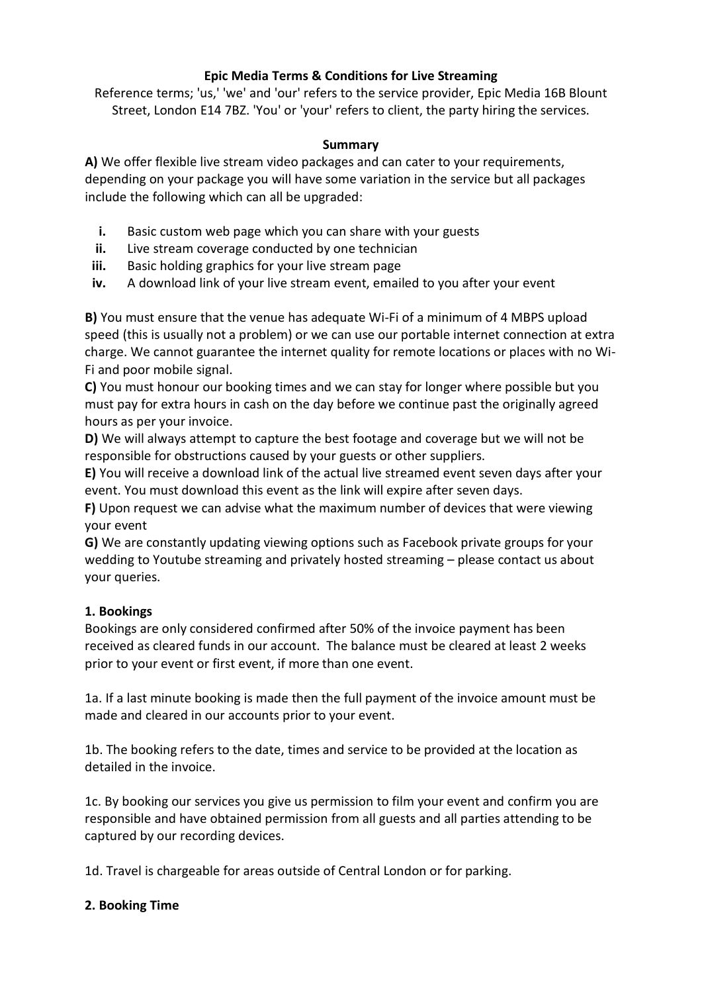# **Epic Media Terms & Conditions for Live Streaming**

Reference terms; 'us,' 'we' and 'our' refers to the service provider, Epic Media 16B Blount Street, London E14 7BZ. 'You' or 'your' refers to client, the party hiring the services.

#### **Summary**

**A)** We offer flexible live stream video packages and can cater to your requirements, depending on your package you will have some variation in the service but all packages include the following which can all be upgraded:

- **i.** Basic custom web page which you can share with your guests
- **ii.** Live stream coverage conducted by one technician
- **iii.** Basic holding graphics for your live stream page
- **iv.** A download link of your live stream event, emailed to you after your event

**B)** You must ensure that the venue has adequate Wi-Fi of a minimum of 4 MBPS upload speed (this is usually not a problem) or we can use our portable internet connection at extra charge. We cannot guarantee the internet quality for remote locations or places with no Wi-Fi and poor mobile signal.

**C)** You must honour our booking times and we can stay for longer where possible but you must pay for extra hours in cash on the day before we continue past the originally agreed hours as per your invoice.

**D)** We will always attempt to capture the best footage and coverage but we will not be responsible for obstructions caused by your guests or other suppliers.

**E)** You will receive a download link of the actual live streamed event seven days after your event. You must download this event as the link will expire after seven days.

**F)** Upon request we can advise what the maximum number of devices that were viewing your event

**G)** We are constantly updating viewing options such as Facebook private groups for your wedding to Youtube streaming and privately hosted streaming – please contact us about your queries.

# **1. Bookings**

Bookings are only considered confirmed after 50% of the invoice payment has been received as cleared funds in our account. The balance must be cleared at least 2 weeks prior to your event or first event, if more than one event.

1a. If a last minute booking is made then the full payment of the invoice amount must be made and cleared in our accounts prior to your event.

1b. The booking refers to the date, times and service to be provided at the location as detailed in the invoice.

1c. By booking our services you give us permission to film your event and confirm you are responsible and have obtained permission from all guests and all parties attending to be captured by our recording devices.

1d. Travel is chargeable for areas outside of Central London or for parking.

# **2. Booking Time**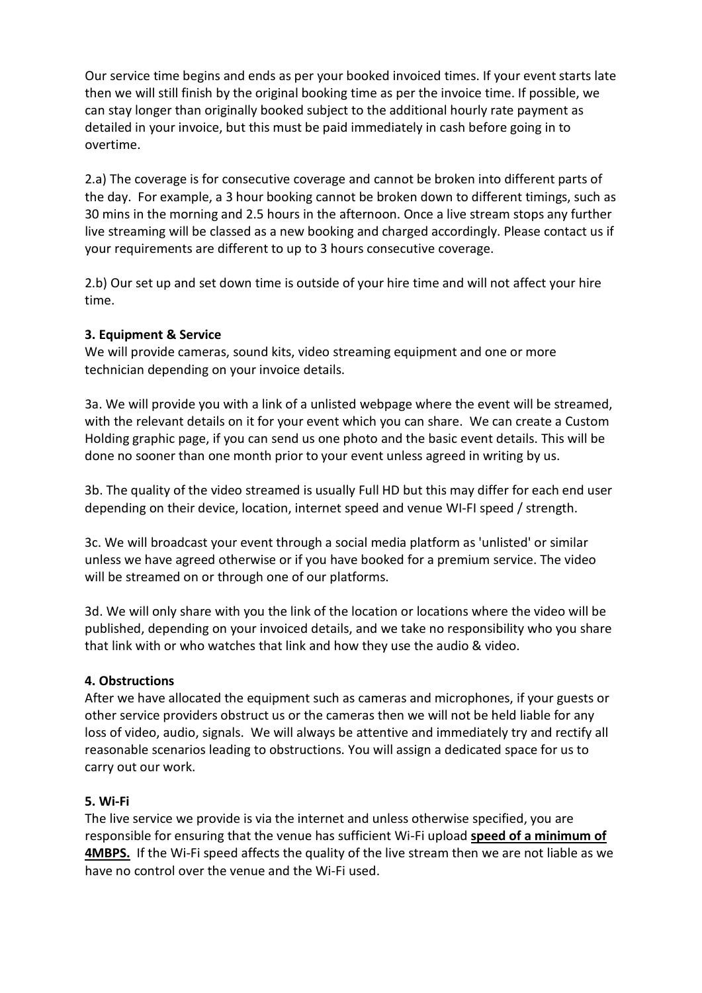Our service time begins and ends as per your booked invoiced times. If your event starts late then we will still finish by the original booking time as per the invoice time. If possible, we can stay longer than originally booked subject to the additional hourly rate payment as detailed in your invoice, but this must be paid immediately in cash before going in to overtime.

2.a) The coverage is for consecutive coverage and cannot be broken into different parts of the day. For example, a 3 hour booking cannot be broken down to different timings, such as 30 mins in the morning and 2.5 hours in the afternoon. Once a live stream stops any further live streaming will be classed as a new booking and charged accordingly. Please contact us if your requirements are different to up to 3 hours consecutive coverage.

2.b) Our set up and set down time is outside of your hire time and will not affect your hire time.

#### **3. Equipment & Service**

We will provide cameras, sound kits, video streaming equipment and one or more technician depending on your invoice details.

3a. We will provide you with a link of a unlisted webpage where the event will be streamed, with the relevant details on it for your event which you can share. We can create a Custom Holding graphic page, if you can send us one photo and the basic event details. This will be done no sooner than one month prior to your event unless agreed in writing by us.

3b. The quality of the video streamed is usually Full HD but this may differ for each end user depending on their device, location, internet speed and venue WI-FI speed / strength.

3c. We will broadcast your event through a social media platform as 'unlisted' or similar unless we have agreed otherwise or if you have booked for a premium service. The video will be streamed on or through one of our platforms.

3d. We will only share with you the link of the location or locations where the video will be published, depending on your invoiced details, and we take no responsibility who you share that link with or who watches that link and how they use the audio & video.

# **4. Obstructions**

After we have allocated the equipment such as cameras and microphones, if your guests or other service providers obstruct us or the cameras then we will not be held liable for any loss of video, audio, signals. We will always be attentive and immediately try and rectify all reasonable scenarios leading to obstructions. You will assign a dedicated space for us to carry out our work.

#### **5. Wi-Fi**

The live service we provide is via the internet and unless otherwise specified, you are responsible for ensuring that the venue has sufficient Wi-Fi upload **speed of a minimum of 4MBPS.** If the Wi-Fi speed affects the quality of the live stream then we are not liable as we have no control over the venue and the Wi-Fi used.